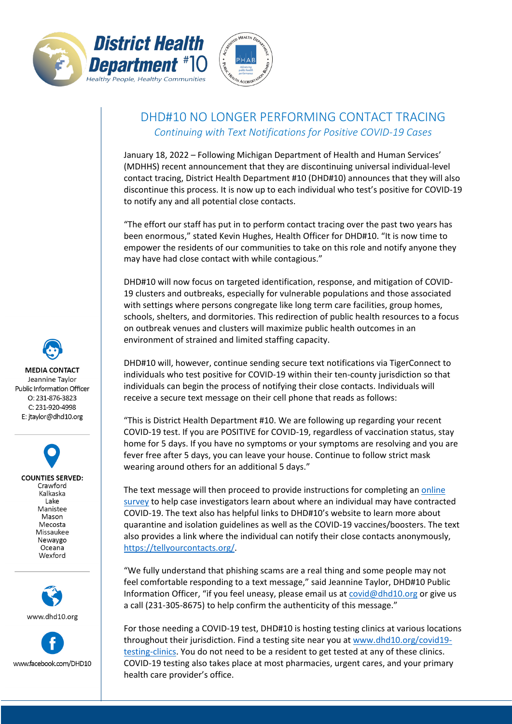



## DHD#10 NO LONGER PERFORMING CONTACT TRACING *Continuing with Text Notifications for Positive COVID-19 Cases*

January 18, 2022 – Following Michigan Department of Health and Human Services' (MDHHS) recent announcement that they are discontinuing universal individual-level contact tracing, District Health Department #10 (DHD#10) announces that they will also discontinue this process. It is now up to each individual who test's positive for COVID-19 to notify any and all potential close contacts.

"The effort our staff has put in to perform contact tracing over the past two years has been enormous," stated Kevin Hughes, Health Officer for DHD#10. "It is now time to empower the residents of our communities to take on this role and notify anyone they may have had close contact with while contagious."

DHD#10 will now focus on targeted identification, response, and mitigation of COVID-19 clusters and outbreaks, especially for vulnerable populations and those associated with settings where persons congregate like long term care facilities, group homes, schools, shelters, and dormitories. This redirection of public health resources to a focus on outbreak venues and clusters will maximize public health outcomes in an environment of strained and limited staffing capacity.

DHD#10 will, however, continue sending secure text notifications via TigerConnect to individuals who test positive for COVID-19 within their ten-county jurisdiction so that individuals can begin the process of notifying their close contacts. Individuals will receive a secure text message on their cell phone that reads as follows:

"This is District Health Department #10. We are following up regarding your recent COVID-19 test. If you are POSITIVE for COVID-19, regardless of vaccination status, stay home for 5 days. If you have no symptoms or your symptoms are resolving and you are fever free after 5 days, you can leave your house. Continue to follow strict mask wearing around others for an additional 5 days."

The text message will then proceed to provide instructions for completing an online [survey](https://survey.alchemer.com/s3/6055601/COVID-19-Initial-Investigation) to help case investigators learn about where an individual may have contracted COVID-19. The text also has helpful links to DHD#10's website to learn more about quarantine and isolation guidelines as well as the COVID-19 vaccines/boosters. The text also provides a link where the individual can notify their close contacts anonymously, [https://tellyourcontacts.org/.](https://tellyourcontacts.org/)

"We fully understand that phishing scams are a real thing and some people may not feel comfortable responding to a text message," said Jeannine Taylor, DHD#10 Public Information Officer, "if you feel uneasy, please email us at [covid@dhd10.org](mailto:covid@dhd10.org) or give us a call (231-305-8675) to help confirm the authenticity of this message."

For those needing a COVID-19 test, DHD#10 is hosting testing clinics at various locations throughout their jurisdiction. Find a testing site near you a[t www.dhd10.org/covid19](http://www.dhd10.org/covid19-testing-clinics) [testing-clinics.](http://www.dhd10.org/covid19-testing-clinics) You do not need to be a resident to get tested at any of these clinics. COVID-19 testing also takes place at most pharmacies, urgent cares, and your primary health care provider's office.

**MEDIA CONTACT** Jeannine Taylor Public Information Officer O: 231-876-3823 C: 231-920-4998 E: jtaylor@dhd10.org

> **COUNTIES SERVED:** Crawford Kalkaska Lake Manistee Mason Mecosta Missaukee Newaygo Oceana Wexford